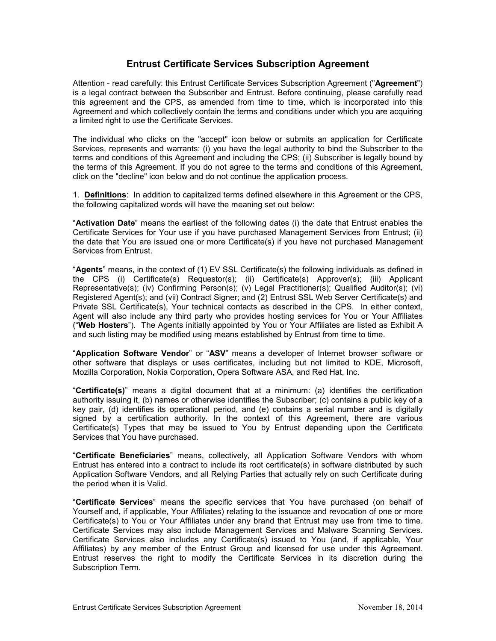# **Entrust Certificate Services Subscription Agreement**

Attention - read carefully: this Entrust Certificate Services Subscription Agreement ("**Agreement**") is a legal contract between the Subscriber and Entrust. Before continuing, please carefully read this agreement and the CPS, as amended from time to time, which is incorporated into this Agreement and which collectively contain the terms and conditions under which you are acquiring a limited right to use the Certificate Services.

The individual who clicks on the "accept" icon below or submits an application for Certificate Services, represents and warrants: (i) you have the legal authority to bind the Subscriber to the terms and conditions of this Agreement and including the CPS; (ii) Subscriber is legally bound by the terms of this Agreement. If you do not agree to the terms and conditions of this Agreement, click on the "decline" icon below and do not continue the application process.

1. **Definitions**: In addition to capitalized terms defined elsewhere in this Agreement or the CPS, the following capitalized words will have the meaning set out below:

"**Activation Date**" means the earliest of the following dates (i) the date that Entrust enables the Certificate Services for Your use if you have purchased Management Services from Entrust; (ii) the date that You are issued one or more Certificate(s) if you have not purchased Management Services from Entrust.

"**Agents**" means, in the context of (1) EV SSL Certificate(s) the following individuals as defined in the CPS (i) Certificate(s) Requestor(s); (ii) Certificate(s) Approver(s); (iii) Applicant Representative(s); (iv) Confirming Person(s); (v) Legal Practitioner(s); Qualified Auditor(s); (vi) Registered Agent(s); and (vii) Contract Signer; and (2) Entrust SSL Web Server Certificate(s) and Private SSL Certificate(s), Your technical contacts as described in the CPS. In either context, Agent will also include any third party who provides hosting services for You or Your Affiliates ("**Web Hosters**"). The Agents initially appointed by You or Your Affiliates are listed as Exhibit A and such listing may be modified using means established by Entrust from time to time.

"**Application Software Vendor**" or "**ASV**" means a developer of Internet browser software or other software that displays or uses certificates, including but not limited to KDE, Microsoft, Mozilla Corporation, Nokia Corporation, Opera Software ASA, and Red Hat, Inc.

"**Certificate(s)**" means a digital document that at a minimum: (a) identifies the certification authority issuing it, (b) names or otherwise identifies the Subscriber; (c) contains a public key of a key pair, (d) identifies its operational period, and (e) contains a serial number and is digitally signed by a certification authority. In the context of this Agreement, there are various Certificate(s) Types that may be issued to You by Entrust depending upon the Certificate Services that You have purchased.

"**Certificate Beneficiaries**" means, collectively, all Application Software Vendors with whom Entrust has entered into a contract to include its root certificate(s) in software distributed by such Application Software Vendors, and all Relying Parties that actually rely on such Certificate during the period when it is Valid.

"**Certificate Services**" means the specific services that You have purchased (on behalf of Yourself and, if applicable, Your Affiliates) relating to the issuance and revocation of one or more Certificate(s) to You or Your Affiliates under any brand that Entrust may use from time to time. Certificate Services may also include Management Services and Malware Scanning Services. Certificate Services also includes any Certificate(s) issued to You (and, if applicable, Your Affiliates) by any member of the Entrust Group and licensed for use under this Agreement. Entrust reserves the right to modify the Certificate Services in its discretion during the Subscription Term.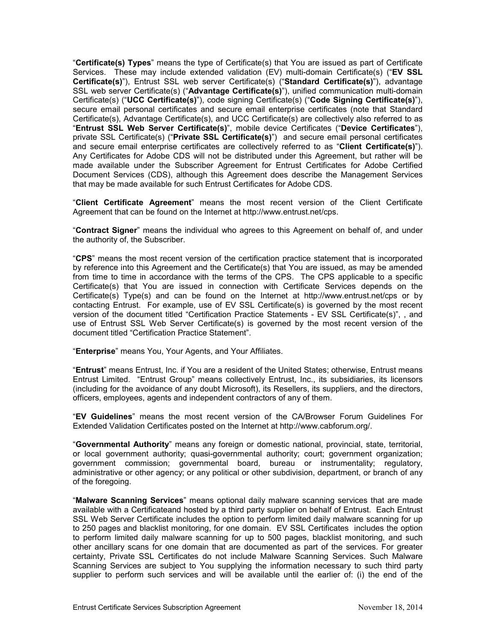"**Certificate(s) Types**" means the type of Certificate(s) that You are issued as part of Certificate Services. These may include extended validation (EV) multi-domain Certificate(s) ("**EV SSL Certificate(s)**"), Entrust SSL web server Certificate(s) ("**Standard Certificate(s)**"), advantage SSL web server Certificate(s) ("**Advantage Certificate(s)**"), unified communication multi-domain Certificate(s) ("**UCC Certificate(s)**"), code signing Certificate(s) ("**Code Signing Certificate(s)**"), secure email personal certificates and secure email enterprise certificates (note that Standard Certificate(s), Advantage Certificate(s), and UCC Certificate(s) are collectively also referred to as "**Entrust SSL Web Server Certificate(s)**", mobile device Certificates ("**Device Certificates**"), private SSL Certificate(s) ("**Private SSL Certificate(s)**") and secure email personal certificates and secure email enterprise certificates are collectively referred to as "**Client Certificate(s)**"). Any Certificates for Adobe CDS will not be distributed under this Agreement, but rather will be made available under the Subscriber Agreement for Entrust Certificates for Adobe Certified Document Services (CDS), although this Agreement does describe the Management Services that may be made available for such Entrust Certificates for Adobe CDS.

"**Client Certificate Agreement**" means the most recent version of the Client Certificate Agreement that can be found on the Internet at http://www.entrust.net/cps.

"**Contract Signer**" means the individual who agrees to this Agreement on behalf of, and under the authority of, the Subscriber.

"**CPS**" means the most recent version of the certification practice statement that is incorporated by reference into this Agreement and the Certificate(s) that You are issued, as may be amended from time to time in accordance with the terms of the CPS. The CPS applicable to a specific Certificate(s) that You are issued in connection with Certificate Services depends on the Certificate(s) Type(s) and can be found on the Internet at http://www.entrust.net/cps or by contacting Entrust. For example, use of EV SSL Certificate(s) is governed by the most recent version of the document titled "Certification Practice Statements - EV SSL Certificate(s)", , and use of Entrust SSL Web Server Certificate(s) is governed by the most recent version of the document titled "Certification Practice Statement".

"**Enterprise**" means You, Your Agents, and Your Affiliates.

"**Entrust**" means Entrust, Inc. if You are a resident of the United States; otherwise, Entrust means Entrust Limited. "Entrust Group" means collectively Entrust, Inc., its subsidiaries, its licensors (including for the avoidance of any doubt Microsoft), its Resellers, its suppliers, and the directors, officers, employees, agents and independent contractors of any of them.

"**EV Guidelines**" means the most recent version of the CA/Browser Forum Guidelines For Extended Validation Certificates posted on the Internet at http://www.cabforum.org/.

"**Governmental Authority**" means any foreign or domestic national, provincial, state, territorial, or local government authority; quasi-governmental authority; court; government organization; government commission; governmental board, bureau or instrumentality; regulatory, administrative or other agency; or any political or other subdivision, department, or branch of any of the foregoing.

"**Malware Scanning Services**" means optional daily malware scanning services that are made available with a Certificateand hosted by a third party supplier on behalf of Entrust. Each Entrust SSL Web Server Certificate includes the option to perform limited daily malware scanning for up to 250 pages and blacklist monitoring, for one domain. EV SSL Certificates includes the option to perform limited daily malware scanning for up to 500 pages, blacklist monitoring, and such other ancillary scans for one domain that are documented as part of the services. For greater certainty, Private SSL Certificates do not include Malware Scanning Services. Such Malware Scanning Services are subject to You supplying the information necessary to such third party supplier to perform such services and will be available until the earlier of: (i) the end of the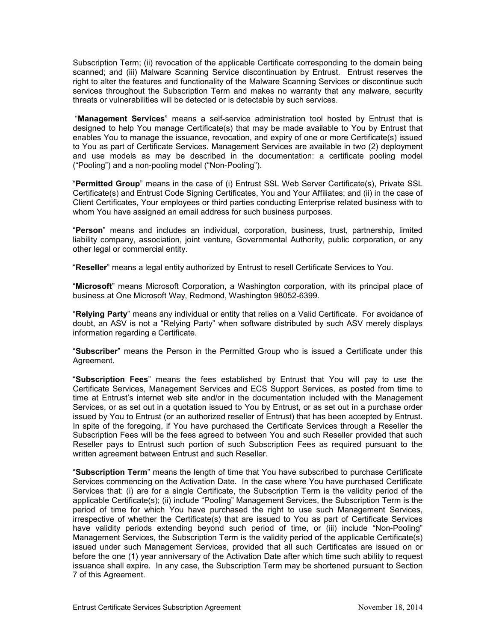Subscription Term; (ii) revocation of the applicable Certificate corresponding to the domain being scanned; and (iii) Malware Scanning Service discontinuation by Entrust. Entrust reserves the right to alter the features and functionality of the Malware Scanning Services or discontinue such services throughout the Subscription Term and makes no warranty that any malware, security threats or vulnerabilities will be detected or is detectable by such services.

"**Management Services**" means a self-service administration tool hosted by Entrust that is designed to help You manage Certificate(s) that may be made available to You by Entrust that enables You to manage the issuance, revocation, and expiry of one or more Certificate(s) issued to You as part of Certificate Services. Management Services are available in two (2) deployment and use models as may be described in the documentation: a certificate pooling model ("Pooling") and a non-pooling model ("Non-Pooling").

"**Permitted Group**" means in the case of (i) Entrust SSL Web Server Certificate(s), Private SSL Certificate(s) and Entrust Code Signing Certificates, You and Your Affiliates; and (ii) in the case of Client Certificates, Your employees or third parties conducting Enterprise related business with to whom You have assigned an email address for such business purposes.

"**Person**" means and includes an individual, corporation, business, trust, partnership, limited liability company, association, joint venture, Governmental Authority, public corporation, or any other legal or commercial entity.

"**Reseller**" means a legal entity authorized by Entrust to resell Certificate Services to You.

"**Microsoft**" means Microsoft Corporation, a Washington corporation, with its principal place of business at One Microsoft Way, Redmond, Washington 98052-6399.

"**Relying Party**" means any individual or entity that relies on a Valid Certificate. For avoidance of doubt, an ASV is not a "Relying Party" when software distributed by such ASV merely displays information regarding a Certificate.

"**Subscriber**" means the Person in the Permitted Group who is issued a Certificate under this Agreement.

"**Subscription Fees**" means the fees established by Entrust that You will pay to use the Certificate Services, Management Services and ECS Support Services, as posted from time to time at Entrust's internet web site and/or in the documentation included with the Management Services, or as set out in a quotation issued to You by Entrust, or as set out in a purchase order issued by You to Entrust (or an authorized reseller of Entrust) that has been accepted by Entrust. In spite of the foregoing, if You have purchased the Certificate Services through a Reseller the Subscription Fees will be the fees agreed to between You and such Reseller provided that such Reseller pays to Entrust such portion of such Subscription Fees as required pursuant to the written agreement between Entrust and such Reseller.

"**Subscription Term**" means the length of time that You have subscribed to purchase Certificate Services commencing on the Activation Date. In the case where You have purchased Certificate Services that: (i) are for a single Certificate, the Subscription Term is the validity period of the applicable Certificate(s); (ii) include "Pooling" Management Services, the Subscription Term is the period of time for which You have purchased the right to use such Management Services, irrespective of whether the Certificate(s) that are issued to You as part of Certificate Services have validity periods extending beyond such period of time, or (iii) include "Non-Pooling" Management Services, the Subscription Term is the validity period of the applicable Certificate(s) issued under such Management Services, provided that all such Certificates are issued on or before the one (1) year anniversary of the Activation Date after which time such ability to request issuance shall expire. In any case, the Subscription Term may be shortened pursuant to Section 7 of this Agreement.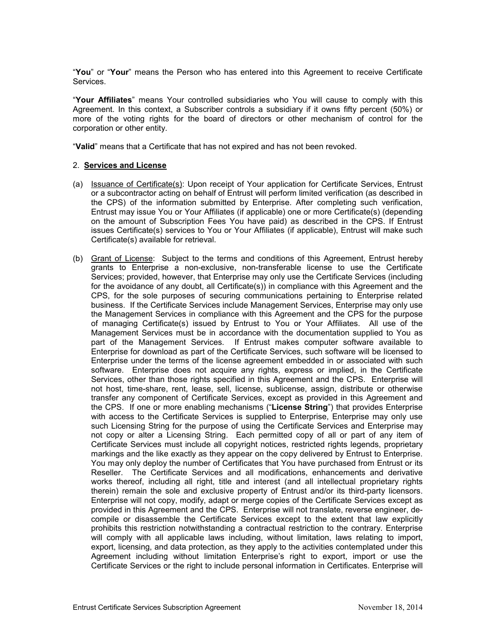"**You**" or "**Your**" means the Person who has entered into this Agreement to receive Certificate Services.

"**Your Affiliates**" means Your controlled subsidiaries who You will cause to comply with this Agreement. In this context, a Subscriber controls a subsidiary if it owns fifty percent (50%) or more of the voting rights for the board of directors or other mechanism of control for the corporation or other entity.

"**Valid**" means that a Certificate that has not expired and has not been revoked.

#### 2. **Services and License**

- (a) Issuance of Certificate(s): Upon receipt of Your application for Certificate Services, Entrust or a subcontractor acting on behalf of Entrust will perform limited verification (as described in the CPS) of the information submitted by Enterprise. After completing such verification, Entrust may issue You or Your Affiliates (if applicable) one or more Certificate(s) (depending on the amount of Subscription Fees You have paid) as described in the CPS. If Entrust issues Certificate(s) services to You or Your Affiliates (if applicable), Entrust will make such Certificate(s) available for retrieval.
- (b) Grant of License: Subject to the terms and conditions of this Agreement, Entrust hereby grants to Enterprise a non-exclusive, non-transferable license to use the Certificate Services; provided, however, that Enterprise may only use the Certificate Services (including for the avoidance of any doubt, all Certificate(s)) in compliance with this Agreement and the CPS, for the sole purposes of securing communications pertaining to Enterprise related business. If the Certificate Services include Management Services, Enterprise may only use the Management Services in compliance with this Agreement and the CPS for the purpose of managing Certificate(s) issued by Entrust to You or Your Affiliates. All use of the Management Services must be in accordance with the documentation supplied to You as part of the Management Services. If Entrust makes computer software available to Enterprise for download as part of the Certificate Services, such software will be licensed to Enterprise under the terms of the license agreement embedded in or associated with such software. Enterprise does not acquire any rights, express or implied, in the Certificate Services, other than those rights specified in this Agreement and the CPS. Enterprise will not host, time-share, rent, lease, sell, license, sublicense, assign, distribute or otherwise transfer any component of Certificate Services, except as provided in this Agreement and the CPS. If one or more enabling mechanisms ("**License String**") that provides Enterprise with access to the Certificate Services is supplied to Enterprise, Enterprise may only use such Licensing String for the purpose of using the Certificate Services and Enterprise may not copy or alter a Licensing String. Each permitted copy of all or part of any item of Certificate Services must include all copyright notices, restricted rights legends, proprietary markings and the like exactly as they appear on the copy delivered by Entrust to Enterprise. You may only deploy the number of Certificates that You have purchased from Entrust or its Reseller. The Certificate Services and all modifications, enhancements and derivative works thereof, including all right, title and interest (and all intellectual proprietary rights therein) remain the sole and exclusive property of Entrust and/or its third-party licensors. Enterprise will not copy, modify, adapt or merge copies of the Certificate Services except as provided in this Agreement and the CPS. Enterprise will not translate, reverse engineer, decompile or disassemble the Certificate Services except to the extent that law explicitly prohibits this restriction notwithstanding a contractual restriction to the contrary. Enterprise will comply with all applicable laws including, without limitation, laws relating to import, export, licensing, and data protection, as they apply to the activities contemplated under this Agreement including without limitation Enterprise's right to export, import or use the Certificate Services or the right to include personal information in Certificates. Enterprise will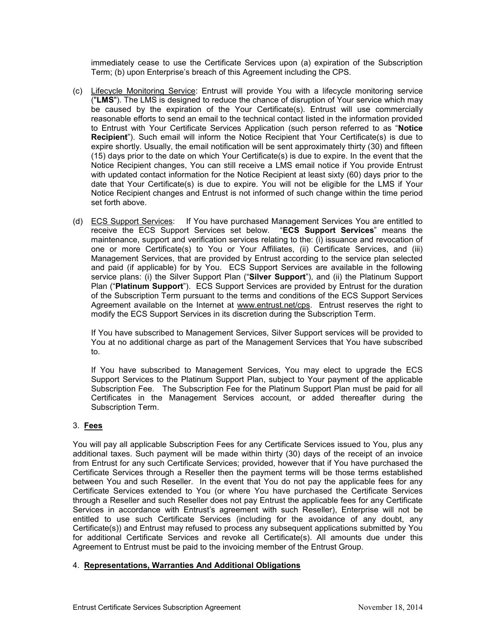immediately cease to use the Certificate Services upon (a) expiration of the Subscription Term; (b) upon Enterprise's breach of this Agreement including the CPS.

- (c) Lifecycle Monitoring Service: Entrust will provide You with a lifecycle monitoring service ("**LMS**"). The LMS is designed to reduce the chance of disruption of Your service which may be caused by the expiration of the Your Certificate(s). Entrust will use commercially reasonable efforts to send an email to the technical contact listed in the information provided to Entrust with Your Certificate Services Application (such person referred to as "**Notice Recipient**"). Such email will inform the Notice Recipient that Your Certificate(s) is due to expire shortly. Usually, the email notification will be sent approximately thirty (30) and fifteen (15) days prior to the date on which Your Certificate(s) is due to expire. In the event that the Notice Recipient changes, You can still receive a LMS email notice if You provide Entrust with updated contact information for the Notice Recipient at least sixty (60) days prior to the date that Your Certificate(s) is due to expire. You will not be eligible for the LMS if Your Notice Recipient changes and Entrust is not informed of such change within the time period set forth above.
- (d) ECS Support Services: If You have purchased Management Services You are entitled to receive the ECS Support Services set below. "**ECS Support Services**" means the maintenance, support and verification services relating to the: (i) issuance and revocation of one or more Certificate(s) to You or Your Affiliates, (ii) Certificate Services, and (iii) Management Services, that are provided by Entrust according to the service plan selected and paid (if applicable) for by You. ECS Support Services are available in the following service plans: (i) the Silver Support Plan ("**Silver Support**"), and (ii) the Platinum Support Plan ("**Platinum Support**"). ECS Support Services are provided by Entrust for the duration of the Subscription Term pursuant to the terms and conditions of the ECS Support Services Agreement available on the Internet at www.entrust.net/cps. Entrust reserves the right to modify the ECS Support Services in its discretion during the Subscription Term.

If You have subscribed to Management Services, Silver Support services will be provided to You at no additional charge as part of the Management Services that You have subscribed to.

If You have subscribed to Management Services, You may elect to upgrade the ECS Support Services to the Platinum Support Plan, subject to Your payment of the applicable Subscription Fee. The Subscription Fee for the Platinum Support Plan must be paid for all Certificates in the Management Services account, or added thereafter during the Subscription Term.

# 3. **Fees**

You will pay all applicable Subscription Fees for any Certificate Services issued to You, plus any additional taxes. Such payment will be made within thirty (30) days of the receipt of an invoice from Entrust for any such Certificate Services; provided, however that if You have purchased the Certificate Services through a Reseller then the payment terms will be those terms established between You and such Reseller. In the event that You do not pay the applicable fees for any Certificate Services extended to You (or where You have purchased the Certificate Services through a Reseller and such Reseller does not pay Entrust the applicable fees for any Certificate Services in accordance with Entrust's agreement with such Reseller), Enterprise will not be entitled to use such Certificate Services (including for the avoidance of any doubt, any Certificate(s)) and Entrust may refused to process any subsequent applications submitted by You for additional Certificate Services and revoke all Certificate(s). All amounts due under this Agreement to Entrust must be paid to the invoicing member of the Entrust Group.

# 4. **Representations, Warranties And Additional Obligations**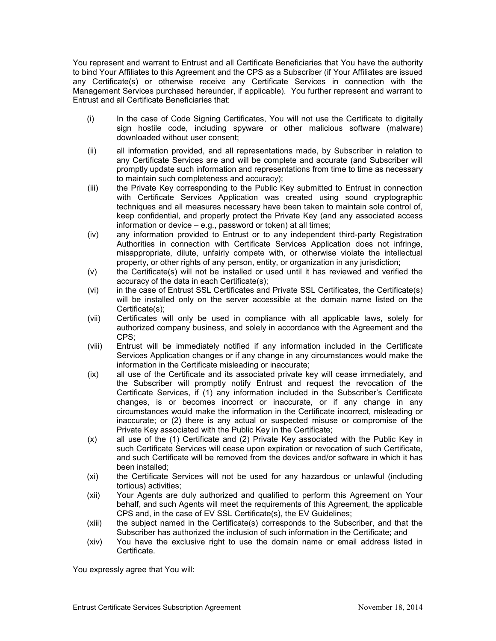You represent and warrant to Entrust and all Certificate Beneficiaries that You have the authority to bind Your Affiliates to this Agreement and the CPS as a Subscriber (if Your Affiliates are issued any Certificate(s) or otherwise receive any Certificate Services in connection with the Management Services purchased hereunder, if applicable). You further represent and warrant to Entrust and all Certificate Beneficiaries that:

- (i) In the case of Code Signing Certificates, You will not use the Certificate to digitally sign hostile code, including spyware or other malicious software (malware) downloaded without user consent;
- (ii) all information provided, and all representations made, by Subscriber in relation to any Certificate Services are and will be complete and accurate (and Subscriber will promptly update such information and representations from time to time as necessary to maintain such completeness and accuracy);
- (iii) the Private Key corresponding to the Public Key submitted to Entrust in connection with Certificate Services Application was created using sound cryptographic techniques and all measures necessary have been taken to maintain sole control of, keep confidential, and properly protect the Private Key (and any associated access information or device – e.g., password or token) at all times;
- (iv) any information provided to Entrust or to any independent third-party Registration Authorities in connection with Certificate Services Application does not infringe, misappropriate, dilute, unfairly compete with, or otherwise violate the intellectual property, or other rights of any person, entity, or organization in any jurisdiction;
- (v) the Certificate(s) will not be installed or used until it has reviewed and verified the accuracy of the data in each Certificate(s);
- (vi) in the case of Entrust SSL Certificates and Private SSL Certificates, the Certificate(s) will be installed only on the server accessible at the domain name listed on the Certificate(s);
- (vii) Certificates will only be used in compliance with all applicable laws, solely for authorized company business, and solely in accordance with the Agreement and the CPS;
- (viii) Entrust will be immediately notified if any information included in the Certificate Services Application changes or if any change in any circumstances would make the information in the Certificate misleading or inaccurate;
- (ix) all use of the Certificate and its associated private key will cease immediately, and the Subscriber will promptly notify Entrust and request the revocation of the Certificate Services, if (1) any information included in the Subscriber's Certificate changes, is or becomes incorrect or inaccurate, or if any change in any circumstances would make the information in the Certificate incorrect, misleading or inaccurate; or (2) there is any actual or suspected misuse or compromise of the Private Key associated with the Public Key in the Certificate;
- (x) all use of the (1) Certificate and (2) Private Key associated with the Public Key in such Certificate Services will cease upon expiration or revocation of such Certificate, and such Certificate will be removed from the devices and/or software in which it has been installed;
- (xi) the Certificate Services will not be used for any hazardous or unlawful (including tortious) activities;
- (xii) Your Agents are duly authorized and qualified to perform this Agreement on Your behalf, and such Agents will meet the requirements of this Agreement, the applicable CPS and, in the case of EV SSL Certificate(s), the EV Guidelines;
- (xiii) the subject named in the Certificate(s) corresponds to the Subscriber, and that the Subscriber has authorized the inclusion of such information in the Certificate; and
- (xiv) You have the exclusive right to use the domain name or email address listed in Certificate.

You expressly agree that You will: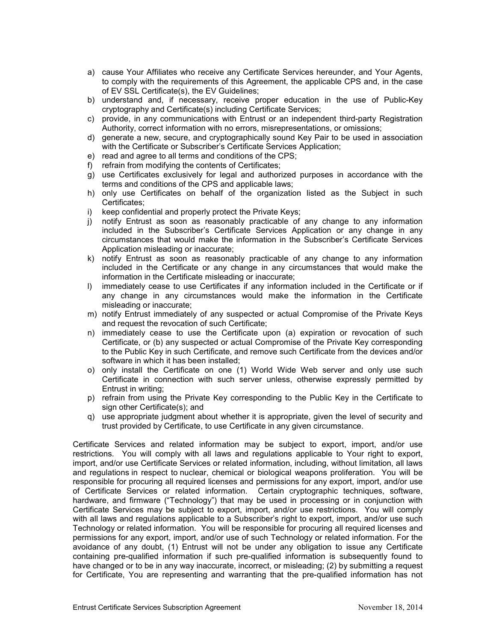- a) cause Your Affiliates who receive any Certificate Services hereunder, and Your Agents, to comply with the requirements of this Agreement, the applicable CPS and, in the case of EV SSL Certificate(s), the EV Guidelines;
- b) understand and, if necessary, receive proper education in the use of Public-Key cryptography and Certificate(s) including Certificate Services;
- c) provide, in any communications with Entrust or an independent third-party Registration Authority, correct information with no errors, misrepresentations, or omissions;
- d) generate a new, secure, and cryptographically sound Key Pair to be used in association with the Certificate or Subscriber's Certificate Services Application;
- e) read and agree to all terms and conditions of the CPS;
- f) refrain from modifying the contents of Certificates;
- g) use Certificates exclusively for legal and authorized purposes in accordance with the terms and conditions of the CPS and applicable laws;
- h) only use Certificates on behalf of the organization listed as the Subject in such Certificates;
- i) keep confidential and properly protect the Private Keys;
- j) notify Entrust as soon as reasonably practicable of any change to any information included in the Subscriber's Certificate Services Application or any change in any circumstances that would make the information in the Subscriber's Certificate Services Application misleading or inaccurate;
- k) notify Entrust as soon as reasonably practicable of any change to any information included in the Certificate or any change in any circumstances that would make the information in the Certificate misleading or inaccurate;
- l) immediately cease to use Certificates if any information included in the Certificate or if any change in any circumstances would make the information in the Certificate misleading or inaccurate;
- m) notify Entrust immediately of any suspected or actual Compromise of the Private Keys and request the revocation of such Certificate;
- n) immediately cease to use the Certificate upon (a) expiration or revocation of such Certificate, or (b) any suspected or actual Compromise of the Private Key corresponding to the Public Key in such Certificate, and remove such Certificate from the devices and/or software in which it has been installed;
- o) only install the Certificate on one (1) World Wide Web server and only use such Certificate in connection with such server unless, otherwise expressly permitted by Entrust in writing;
- p) refrain from using the Private Key corresponding to the Public Key in the Certificate to sign other Certificate(s); and
- q) use appropriate judgment about whether it is appropriate, given the level of security and trust provided by Certificate, to use Certificate in any given circumstance.

Certificate Services and related information may be subject to export, import, and/or use restrictions. You will comply with all laws and regulations applicable to Your right to export, import, and/or use Certificate Services or related information, including, without limitation, all laws and regulations in respect to nuclear, chemical or biological weapons proliferation. You will be responsible for procuring all required licenses and permissions for any export, import, and/or use of Certificate Services or related information. Certain cryptographic techniques, software, hardware, and firmware ("Technology") that may be used in processing or in conjunction with Certificate Services may be subject to export, import, and/or use restrictions. You will comply with all laws and regulations applicable to a Subscriber's right to export, import, and/or use such Technology or related information. You will be responsible for procuring all required licenses and permissions for any export, import, and/or use of such Technology or related information. For the avoidance of any doubt, (1) Entrust will not be under any obligation to issue any Certificate containing pre-qualified information if such pre-qualified information is subsequently found to have changed or to be in any way inaccurate, incorrect, or misleading; (2) by submitting a request for Certificate, You are representing and warranting that the pre-qualified information has not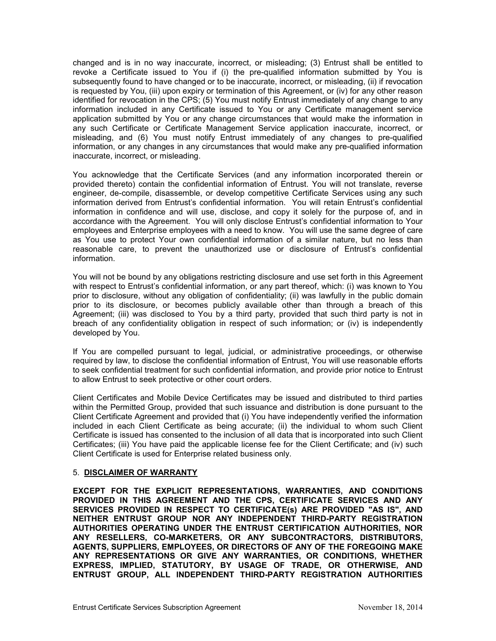changed and is in no way inaccurate, incorrect, or misleading; (3) Entrust shall be entitled to revoke a Certificate issued to You if (i) the pre-qualified information submitted by You is subsequently found to have changed or to be inaccurate, incorrect, or misleading, (ii) if revocation is requested by You, (iii) upon expiry or termination of this Agreement, or (iv) for any other reason identified for revocation in the CPS; (5) You must notify Entrust immediately of any change to any information included in any Certificate issued to You or any Certificate management service application submitted by You or any change circumstances that would make the information in any such Certificate or Certificate Management Service application inaccurate, incorrect, or misleading, and (6) You must notify Entrust immediately of any changes to pre-qualified information, or any changes in any circumstances that would make any pre-qualified information inaccurate, incorrect, or misleading.

You acknowledge that the Certificate Services (and any information incorporated therein or provided thereto) contain the confidential information of Entrust. You will not translate, reverse engineer, de-compile, disassemble, or develop competitive Certificate Services using any such information derived from Entrust's confidential information. You will retain Entrust's confidential information in confidence and will use, disclose, and copy it solely for the purpose of, and in accordance with the Agreement. You will only disclose Entrust's confidential information to Your employees and Enterprise employees with a need to know. You will use the same degree of care as You use to protect Your own confidential information of a similar nature, but no less than reasonable care, to prevent the unauthorized use or disclosure of Entrust's confidential information.

You will not be bound by any obligations restricting disclosure and use set forth in this Agreement with respect to Entrust's confidential information, or any part thereof, which: (i) was known to You prior to disclosure, without any obligation of confidentiality; (ii) was lawfully in the public domain prior to its disclosure, or becomes publicly available other than through a breach of this Agreement; (iii) was disclosed to You by a third party, provided that such third party is not in breach of any confidentiality obligation in respect of such information; or (iv) is independently developed by You.

If You are compelled pursuant to legal, judicial, or administrative proceedings, or otherwise required by law, to disclose the confidential information of Entrust, You will use reasonable efforts to seek confidential treatment for such confidential information, and provide prior notice to Entrust to allow Entrust to seek protective or other court orders.

Client Certificates and Mobile Device Certificates may be issued and distributed to third parties within the Permitted Group, provided that such issuance and distribution is done pursuant to the Client Certificate Agreement and provided that (i) You have independently verified the information included in each Client Certificate as being accurate; (ii) the individual to whom such Client Certificate is issued has consented to the inclusion of all data that is incorporated into such Client Certificates; (iii) You have paid the applicable license fee for the Client Certificate; and (iv) such Client Certificate is used for Enterprise related business only.

#### 5. **DISCLAIMER OF WARRANTY**

**EXCEPT FOR THE EXPLICIT REPRESENTATIONS, WARRANTIES, AND CONDITIONS PROVIDED IN THIS AGREEMENT AND THE CPS, CERTIFICATE SERVICES AND ANY SERVICES PROVIDED IN RESPECT TO CERTIFICATE(s) ARE PROVIDED "AS IS", AND NEITHER ENTRUST GROUP NOR ANY INDEPENDENT THIRD-PARTY REGISTRATION AUTHORITIES OPERATING UNDER THE ENTRUST CERTIFICATION AUTHORITIES, NOR ANY RESELLERS, CO-MARKETERS, OR ANY SUBCONTRACTORS, DISTRIBUTORS, AGENTS, SUPPLIERS, EMPLOYEES, OR DIRECTORS OF ANY OF THE FOREGOING MAKE ANY REPRESENTATIONS OR GIVE ANY WARRANTIES, OR CONDITIONS, WHETHER EXPRESS, IMPLIED, STATUTORY, BY USAGE OF TRADE, OR OTHERWISE, AND ENTRUST GROUP, ALL INDEPENDENT THIRD-PARTY REGISTRATION AUTHORITIES**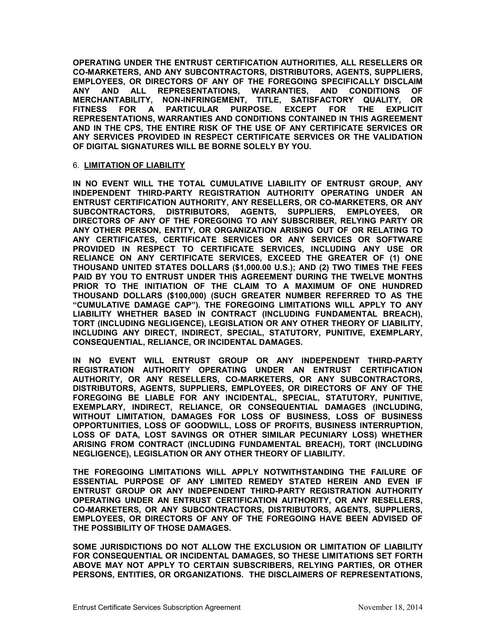**OPERATING UNDER THE ENTRUST CERTIFICATION AUTHORITIES, ALL RESELLERS OR CO-MARKETERS, AND ANY SUBCONTRACTORS, DISTRIBUTORS, AGENTS, SUPPLIERS, EMPLOYEES, OR DIRECTORS OF ANY OF THE FOREGOING SPECIFICALLY DISCLAIM ANY AND ALL REPRESENTATIONS, WARRANTIES, AND CONDITIONS OF MERCHANTABILITY, NON-INFRINGEMENT, TITLE, SATISFACTORY QUALITY, OR FITNESS FOR A PARTICULAR PURPOSE. EXCEPT FOR THE EXPLICIT REPRESENTATIONS, WARRANTIES AND CONDITIONS CONTAINED IN THIS AGREEMENT AND IN THE CPS, THE ENTIRE RISK OF THE USE OF ANY CERTIFICATE SERVICES OR ANY SERVICES PROVIDED IN RESPECT CERTIFICATE SERVICES OR THE VALIDATION OF DIGITAL SIGNATURES WILL BE BORNE SOLELY BY YOU.**

#### 6. **LIMITATION OF LIABILITY**

**IN NO EVENT WILL THE TOTAL CUMULATIVE LIABILITY OF ENTRUST GROUP, ANY INDEPENDENT THIRD-PARTY REGISTRATION AUTHORITY OPERATING UNDER AN ENTRUST CERTIFICATION AUTHORITY, ANY RESELLERS, OR CO-MARKETERS, OR ANY SUBCONTRACTORS, DISTRIBUTORS, AGENTS, SUPPLIERS, EMPLOYEES, OR DIRECTORS OF ANY OF THE FOREGOING TO ANY SUBSCRIBER, RELYING PARTY OR ANY OTHER PERSON, ENTITY, OR ORGANIZATION ARISING OUT OF OR RELATING TO ANY CERTIFICATES, CERTIFICATE SERVICES OR ANY SERVICES OR SOFTWARE PROVIDED IN RESPECT TO CERTIFICATE SERVICES, INCLUDING ANY USE OR RELIANCE ON ANY CERTIFICATE SERVICES, EXCEED THE GREATER OF (1) ONE THOUSAND UNITED STATES DOLLARS (\$1,000.00 U.S.); AND (2) TWO TIMES THE FEES PAID BY YOU TO ENTRUST UNDER THIS AGREEMENT DURING THE TWELVE MONTHS PRIOR TO THE INITIATION OF THE CLAIM TO A MAXIMUM OF ONE HUNDRED THOUSAND DOLLARS (\$100,000) (SUCH GREATER NUMBER REFERRED TO AS THE "CUMULATIVE DAMAGE CAP"). THE FOREGOING LIMITATIONS WILL APPLY TO ANY LIABILITY WHETHER BASED IN CONTRACT (INCLUDING FUNDAMENTAL BREACH), TORT (INCLUDING NEGLIGENCE), LEGISLATION OR ANY OTHER THEORY OF LIABILITY, INCLUDING ANY DIRECT, INDIRECT, SPECIAL, STATUTORY, PUNITIVE, EXEMPLARY, CONSEQUENTIAL, RELIANCE, OR INCIDENTAL DAMAGES.**

**IN NO EVENT WILL ENTRUST GROUP OR ANY INDEPENDENT THIRD-PARTY REGISTRATION AUTHORITY OPERATING UNDER AN ENTRUST CERTIFICATION AUTHORITY, OR ANY RESELLERS, CO-MARKETERS, OR ANY SUBCONTRACTORS, DISTRIBUTORS, AGENTS, SUPPLIERS, EMPLOYEES, OR DIRECTORS OF ANY OF THE FOREGOING BE LIABLE FOR ANY INCIDENTAL, SPECIAL, STATUTORY, PUNITIVE, EXEMPLARY, INDIRECT, RELIANCE, OR CONSEQUENTIAL DAMAGES (INCLUDING, WITHOUT LIMITATION, DAMAGES FOR LOSS OF BUSINESS, LOSS OF BUSINESS OPPORTUNITIES, LOSS OF GOODWILL, LOSS OF PROFITS, BUSINESS INTERRUPTION, LOSS OF DATA, LOST SAVINGS OR OTHER SIMILAR PECUNIARY LOSS) WHETHER ARISING FROM CONTRACT (INCLUDING FUNDAMENTAL BREACH), TORT (INCLUDING NEGLIGENCE), LEGISLATION OR ANY OTHER THEORY OF LIABILITY.** 

**THE FOREGOING LIMITATIONS WILL APPLY NOTWITHSTANDING THE FAILURE OF ESSENTIAL PURPOSE OF ANY LIMITED REMEDY STATED HEREIN AND EVEN IF ENTRUST GROUP OR ANY INDEPENDENT THIRD-PARTY REGISTRATION AUTHORITY OPERATING UNDER AN ENTRUST CERTIFICATION AUTHORITY, OR ANY RESELLERS, CO-MARKETERS, OR ANY SUBCONTRACTORS, DISTRIBUTORS, AGENTS, SUPPLIERS, EMPLOYEES, OR DIRECTORS OF ANY OF THE FOREGOING HAVE BEEN ADVISED OF THE POSSIBILITY OF THOSE DAMAGES.**

**SOME JURISDICTIONS DO NOT ALLOW THE EXCLUSION OR LIMITATION OF LIABILITY FOR CONSEQUENTIAL OR INCIDENTAL DAMAGES, SO THESE LIMITATIONS SET FORTH ABOVE MAY NOT APPLY TO CERTAIN SUBSCRIBERS, RELYING PARTIES, OR OTHER PERSONS, ENTITIES, OR ORGANIZATIONS. THE DISCLAIMERS OF REPRESENTATIONS,**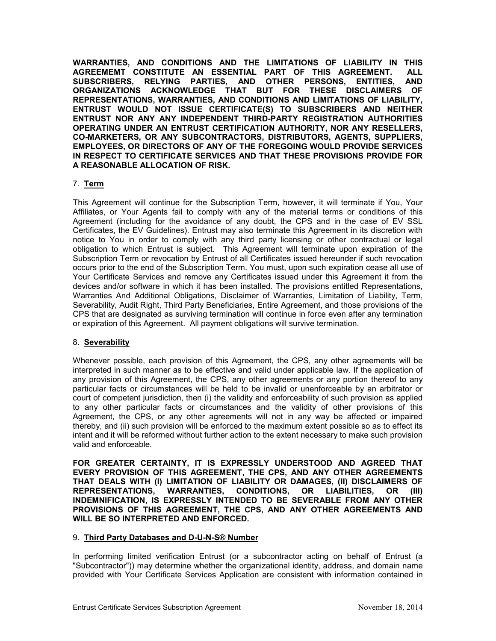**WARRANTIES, AND CONDITIONS AND THE LIMITATIONS OF LIABILITY IN THIS AGREEMEMT CONSTITUTE AN ESSENTIAL PART OF THIS AGREEMENT. ALL SUBSCRIBERS, RELYING PARTIES, AND OTHER PERSONS, ENTITIES, AND ORGANIZATIONS ACKNOWLEDGE THAT BUT FOR THESE DISCLAIMERS OF REPRESENTATIONS, WARRANTIES, AND CONDITIONS AND LIMITATIONS OF LIABILITY, ENTRUST WOULD NOT ISSUE CERTIFICATE(S) TO SUBSCRIBERS AND NEITHER ENTRUST NOR ANY ANY INDEPENDENT THIRD-PARTY REGISTRATION AUTHORITIES OPERATING UNDER AN ENTRUST CERTIFICATION AUTHORITY, NOR ANY RESELLERS, CO-MARKETERS, OR ANY SUBCONTRACTORS, DISTRIBUTORS, AGENTS, SUPPLIERS, EMPLOYEES, OR DIRECTORS OF ANY OF THE FOREGOING WOULD PROVIDE SERVICES IN RESPECT TO CERTIFICATE SERVICES AND THAT THESE PROVISIONS PROVIDE FOR A REASONABLE ALLOCATION OF RISK.**

### 7. **Term**

This Agreement will continue for the Subscription Term, however, it will terminate if You, Your Affiliates, or Your Agents fail to comply with any of the material terms or conditions of this Agreement (including for the avoidance of any doubt, the CPS and in the case of EV SSL Certificates, the EV Guidelines). Entrust may also terminate this Agreement in its discretion with notice to You in order to comply with any third party licensing or other contractual or legal obligation to which Entrust is subject. This Agreement will terminate upon expiration of the Subscription Term or revocation by Entrust of all Certificates issued hereunder if such revocation occurs prior to the end of the Subscription Term. You must, upon such expiration cease all use of Your Certificate Services and remove any Certificates issued under this Agreement it from the devices and/or software in which it has been installed. The provisions entitled Representations, Warranties And Additional Obligations, Disclaimer of Warranties, Limitation of Liability, Term, Severability, Audit Right, Third Party Beneficiaries, Entire Agreement, and those provisions of the CPS that are designated as surviving termination will continue in force even after any termination or expiration of this Agreement. All payment obligations will survive termination.

#### 8. **Severability**

Whenever possible, each provision of this Agreement, the CPS, any other agreements will be interpreted in such manner as to be effective and valid under applicable law. If the application of any provision of this Agreement, the CPS, any other agreements or any portion thereof to any particular facts or circumstances will be held to be invalid or unenforceable by an arbitrator or court of competent jurisdiction, then (i) the validity and enforceability of such provision as applied to any other particular facts or circumstances and the validity of other provisions of this Agreement, the CPS, or any other agreements will not in any way be affected or impaired thereby, and (ii) such provision will be enforced to the maximum extent possible so as to effect its intent and it will be reformed without further action to the extent necessary to make such provision valid and enforceable.

**FOR GREATER CERTAINTY, IT IS EXPRESSLY UNDERSTOOD AND AGREED THAT EVERY PROVISION OF THIS AGREEMENT, THE CPS, AND ANY OTHER AGREEMENTS THAT DEALS WITH (I) LIMITATION OF LIABILITY OR DAMAGES, (II) DISCLAIMERS OF REPRESENTATIONS, WARRANTIES, CONDITIONS, OR LIABILITIES, OR (III) INDEMNIFICATION, IS EXPRESSLY INTENDED TO BE SEVERABLE FROM ANY OTHER PROVISIONS OF THIS AGREEMENT, THE CPS, AND ANY OTHER AGREEMENTS AND WILL BE SO INTERPRETED AND ENFORCED.**

#### 9. **Third Party Databases and D-U-N-S® Number**

In performing limited verification Entrust (or a subcontractor acting on behalf of Entrust (a "Subcontractor")) may determine whether the organizational identity, address, and domain name provided with Your Certificate Services Application are consistent with information contained in